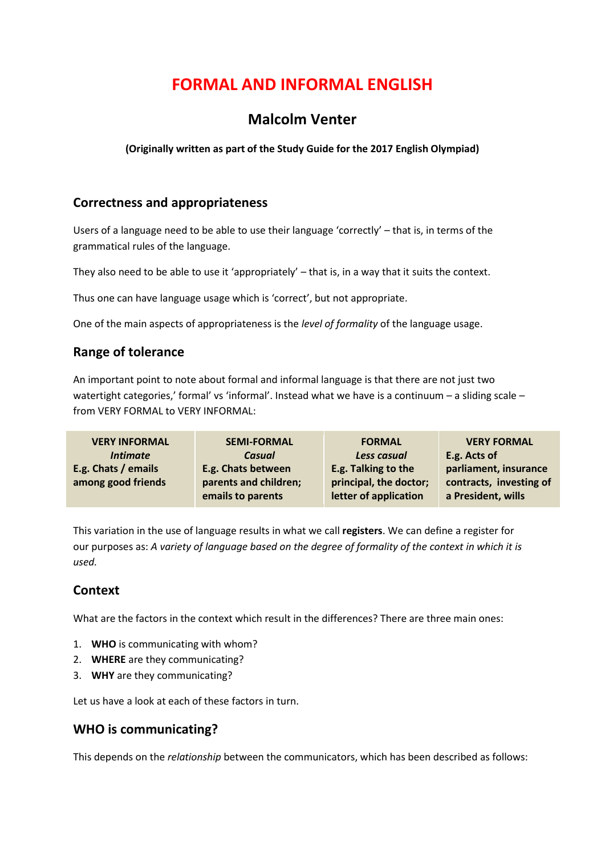# **FORMAL AND INFORMAL ENGLISH**

# **Malcolm Venter**

**(Originally written as part of the Study Guide for the 2017 English Olympiad)**

## **Correctness and appropriateness**

Users of a language need to be able to use their language 'correctly' – that is, in terms of the grammatical rules of the language.

They also need to be able to use it 'appropriately' – that is, in a way that it suits the context.

Thus one can have language usage which is 'correct', but not appropriate.

One of the main aspects of appropriateness is the *level of formality* of the language usage.

# **Range of tolerance**

An important point to note about formal and informal language is that there are not just two watertight categories,' formal' vs 'informal'. Instead what we have is a continuum - a sliding scale from VERY FORMAL to VERY INFORMAL:

| <b>VERY INFORMAL</b> | <b>SEMI-FORMAL</b>    | <b>FORMAL</b>          | <b>VERY FORMAL</b>      |
|----------------------|-----------------------|------------------------|-------------------------|
| <i>Intimate</i>      | Casual                | Less casual            | E.g. Acts of            |
| E.g. Chats / emails  | E.g. Chats between    | E.g. Talking to the    | parliament, insurance   |
| among good friends   | parents and children; | principal, the doctor; | contracts, investing of |
|                      | emails to parents     | letter of application  | a President, wills      |

This variation in the use of language results in what we call **registers**. We can define a register for our purposes as: *A variety of language based on the degree of formality of the context in which it is used.*

# **Context**

What are the factors in the context which result in the differences? There are three main ones:

- 1. **WHO** is communicating with whom?
- 2. **WHERE** are they communicating?
- 3. **WHY** are they communicating?

Let us have a look at each of these factors in turn.

#### **WHO is communicating?**

This depends on the *relationship* between the communicators, which has been described as follows: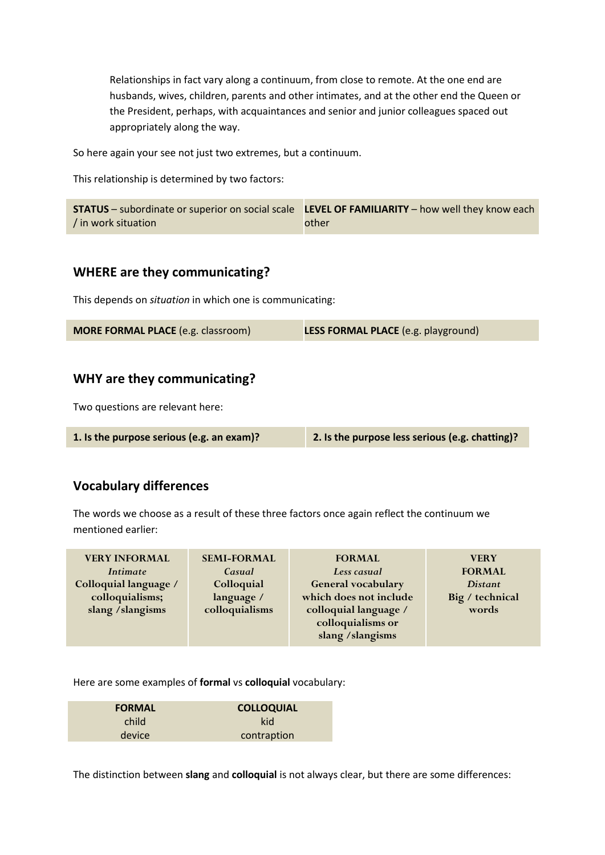Relationships in fact vary along a continuum, from close to remote. At the one end are husbands, wives, children, parents and other intimates, and at the other end the Queen or the President, perhaps, with acquaintances and senior and junior colleagues spaced out appropriately along the way.

So here again your see not just two extremes, but a continuum.

This relationship is determined by two factors:

|                     | <b>STATUS</b> – subordinate or superior on social scale LEVEL OF FAMILIARITY – how well they know each |
|---------------------|--------------------------------------------------------------------------------------------------------|
| / in work situation | other                                                                                                  |

#### **WHERE are they communicating?**

This depends on *situation* in which one is communicating:

| <b>MORE FORMAL PLACE</b> (e.g. classroom) | <b>LESS FORMAL PLACE</b> (e.g. playground) |
|-------------------------------------------|--------------------------------------------|
|-------------------------------------------|--------------------------------------------|

### **WHY are they communicating?**

Two questions are relevant here:

| 1. Is the purpose serious (e.g. an exam)? | 2. Is the purpose less serious (e.g. chatting)? |
|-------------------------------------------|-------------------------------------------------|
|-------------------------------------------|-------------------------------------------------|

#### **Vocabulary differences**

The words we choose as a result of these three factors once again reflect the continuum we mentioned earlier:

| <b>VERY INFORMAL</b>  | <b>SEMI-FORMAL</b> | <b>FORMAL</b>          | <b>VERY</b>     |
|-----------------------|--------------------|------------------------|-----------------|
| <i>Intimate</i>       | Casual             | Less casual            | <b>FORMAL</b>   |
| Colloquial language / | Colloquial         | General vocabulary     | <i>Distant</i>  |
| colloquialisms;       | language /         | which does not include | Big / technical |
| slang / slangisms     | colloquialisms     | colloquial language /  | words           |
|                       |                    | colloquialisms or      |                 |
|                       |                    | slang / slangisms      |                 |

Here are some examples of **formal** vs **colloquial** vocabulary:

| <b>FORMAL</b> | <b>COLLOQUIAL</b> |  |
|---------------|-------------------|--|
| child         | kid               |  |
| device        | contraption       |  |

The distinction between **slang** and **colloquial** is not always clear, but there are some differences: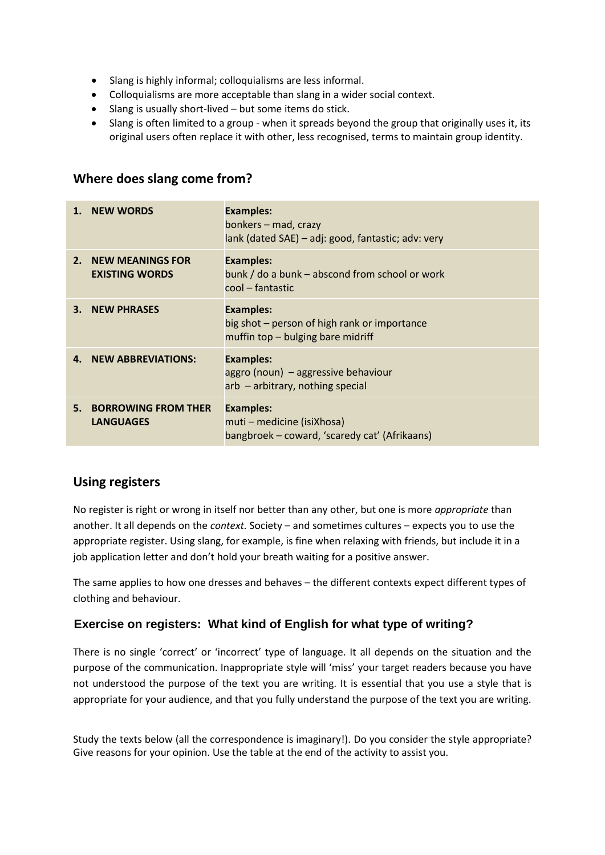- Slang is highly informal; colloquialisms are less informal.
- Colloquialisms are more acceptable than slang in a wider social context.
- Slang is usually short-lived but some items do stick.
- Slang is often limited to a group when it spreads beyond the group that originally uses it, its original users often replace it with other, less recognised, terms to maintain group identity.

#### **Where does slang come from?**

|                | <b>NEW WORDS</b>                                 | <b>Examples:</b><br>bonkers - mad, crazy<br>lank (dated SAE) – adj: good, fantastic; adv: very        |
|----------------|--------------------------------------------------|-------------------------------------------------------------------------------------------------------|
| 2 <sup>1</sup> | <b>NEW MEANINGS FOR</b><br><b>EXISTING WORDS</b> | <b>Examples:</b><br>bunk / do a bunk – abscond from school or work<br>cool – fantastic                |
| 3.             | <b>NEW PHRASES</b>                               | <b>Examples:</b><br>big shot – person of high rank or importance<br>muffin top - bulging bare midriff |
| 4.             | <b>NEW ABBREVIATIONS:</b>                        | <b>Examples:</b><br>aggro (noun) – aggressive behaviour<br>$arb - arbitrary$ , nothing special        |
| 5.             | <b>BORROWING FROM THER</b><br><b>LANGUAGES</b>   | <b>Examples:</b><br>muti – medicine (isiXhosa)<br>bangbroek – coward, 'scaredy cat' (Afrikaans)       |

#### **Using registers**

No register is right or wrong in itself nor better than any other, but one is more *appropriate* than another. It all depends on the *context.* Society – and sometimes cultures – expects you to use the appropriate register. Using slang, for example, is fine when relaxing with friends, but include it in a job application letter and don't hold your breath waiting for a positive answer.

The same applies to how one dresses and behaves – the different contexts expect different types of clothing and behaviour.

#### **Exercise on registers: What kind of English for what type of writing?**

There is no single 'correct' or 'incorrect' type of language. It all depends on the situation and the purpose of the communication. Inappropriate style will 'miss' your target readers because you have not understood the purpose of the text you are writing. It is essential that you use a style that is appropriate for your audience, and that you fully understand the purpose of the text you are writing.

Study the texts below (all the correspondence is imaginary!). Do you consider the style appropriate? Give reasons for your opinion. Use the table at the end of the activity to assist you.